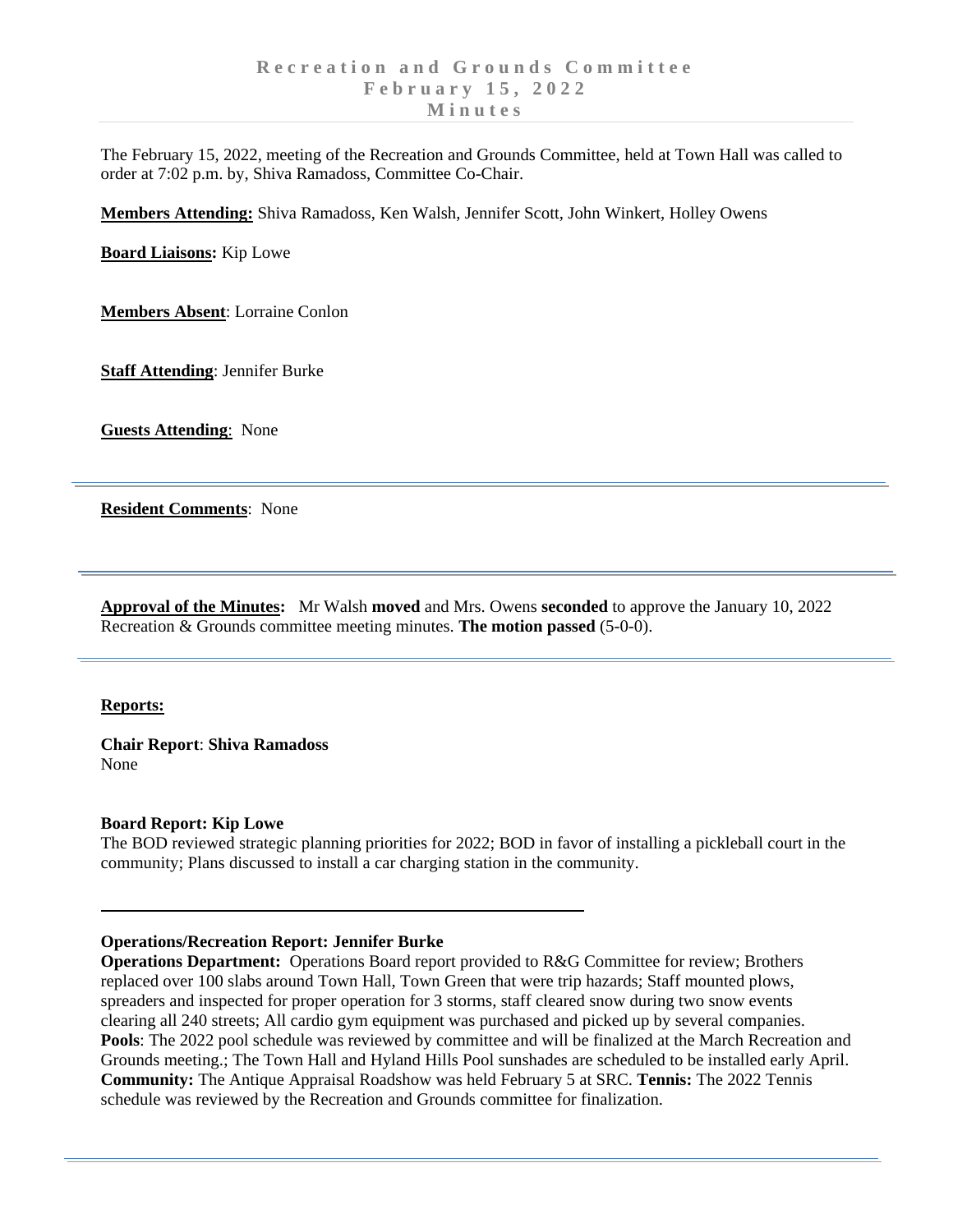The February 15, 2022, meeting of the Recreation and Grounds Committee, held at Town Hall was called to order at 7:02 p.m. by, Shiva Ramadoss, Committee Co-Chair.

**Members Attending:** Shiva Ramadoss, Ken Walsh, Jennifer Scott, John Winkert, Holley Owens

**Board Liaisons:** Kip Lowe

**Members Absent**: Lorraine Conlon

**Staff Attending**: Jennifer Burke

**Guests Attending**: None

**Resident Comments**: None

**Approval of the Minutes:** Mr Walsh **moved** and Mrs. Owens **seconded** to approve the January 10, 2022 Recreation & Grounds committee meeting minutes. **The motion passed** (5-0-0).

### **Reports:**

**Chair Report**: **Shiva Ramadoss** None

### **Board Report: Kip Lowe**

The BOD reviewed strategic planning priorities for 2022; BOD in favor of installing a pickleball court in the community; Plans discussed to install a car charging station in the community.

# **Operations/Recreation Report: Jennifer Burke**

**Operations Department:** Operations Board report provided to R&G Committee for review; Brothers replaced over 100 slabs around Town Hall, Town Green that were trip hazards; Staff mounted plows, spreaders and inspected for proper operation for 3 storms, staff cleared snow during two snow events clearing all 240 streets; All cardio gym equipment was purchased and picked up by several companies. **Pools**: The 2022 pool schedule was reviewed by committee and will be finalized at the March Recreation and Grounds meeting.; The Town Hall and Hyland Hills Pool sunshades are scheduled to be installed early April. **Community:** The Antique Appraisal Roadshow was held February 5 at SRC. **Tennis:** The 2022 Tennis schedule was reviewed by the Recreation and Grounds committee for finalization.